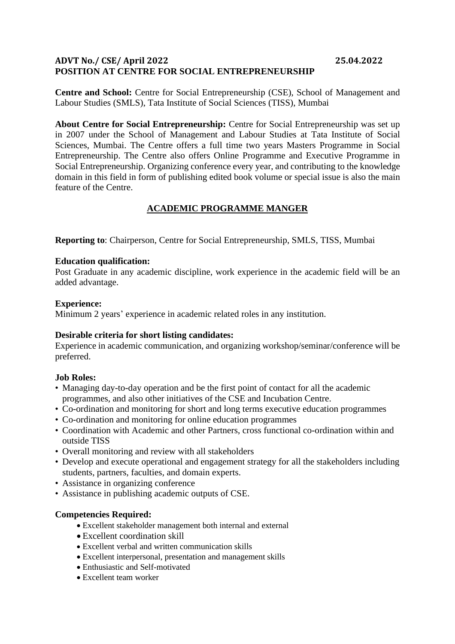# **ADVT No./ CSE/ April 2022 25.04.2022 POSITION AT CENTRE FOR SOCIAL ENTREPRENEURSHIP**

**Centre and School:** Centre for Social Entrepreneurship (CSE), School of Management and Labour Studies (SMLS), Tata Institute of Social Sciences (TISS), Mumbai

**About Centre for Social Entrepreneurship:** Centre for Social Entrepreneurship was set up in 2007 under the School of Management and Labour Studies at Tata Institute of Social Sciences, Mumbai. The Centre offers a full time two years Masters Programme in Social Entrepreneurship. The Centre also offers Online Programme and Executive Programme in Social Entrepreneurship. Organizing conference every year, and contributing to the knowledge domain in this field in form of publishing edited book volume or special issue is also the main feature of the Centre.

# **ACADEMIC PROGRAMME MANGER**

**Reporting to**: Chairperson, Centre for Social Entrepreneurship, SMLS, TISS, Mumbai

#### **Education qualification:**

Post Graduate in any academic discipline, work experience in the academic field will be an added advantage.

## **Experience:**

Minimum 2 years' experience in academic related roles in any institution.

#### **Desirable criteria for short listing candidates:**

Experience in academic communication, and organizing workshop/seminar/conference will be preferred.

#### **Job Roles:**

- Managing day-to-day operation and be the first point of contact for all the academic programmes, and also other initiatives of the CSE and Incubation Centre.
- Co-ordination and monitoring for short and long terms executive education programmes
- Co-ordination and monitoring for online education programmes
- Coordination with Academic and other Partners, cross functional co-ordination within and outside TISS
- Overall monitoring and review with all stakeholders
- Develop and execute operational and engagement strategy for all the stakeholders including students, partners, faculties, and domain experts.
- Assistance in organizing conference
- Assistance in publishing academic outputs of CSE.

#### **Competencies Required:**

- Excellent stakeholder management both internal and external
- Excellent coordination skill
- Excellent verbal and written communication skills
- Excellent interpersonal, presentation and management skills
- Enthusiastic and Self-motivated
- Excellent team worker